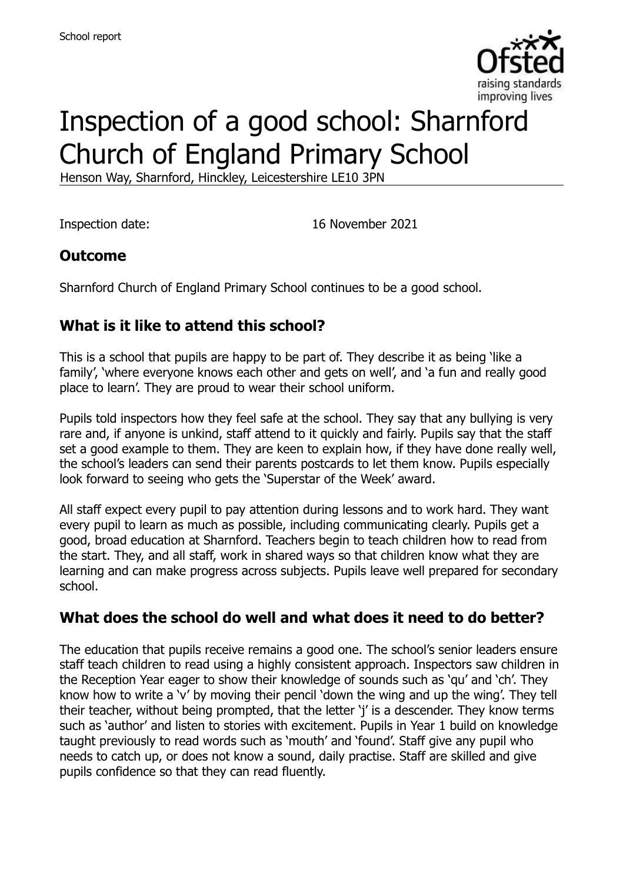

# Inspection of a good school: Sharnford Church of England Primary School

Henson Way, Sharnford, Hinckley, Leicestershire LE10 3PN

Inspection date: 16 November 2021

### **Outcome**

Sharnford Church of England Primary School continues to be a good school.

# **What is it like to attend this school?**

This is a school that pupils are happy to be part of. They describe it as being 'like a family', 'where everyone knows each other and gets on well', and 'a fun and really good place to learn'. They are proud to wear their school uniform.

Pupils told inspectors how they feel safe at the school. They say that any bullying is very rare and, if anyone is unkind, staff attend to it quickly and fairly. Pupils say that the staff set a good example to them. They are keen to explain how, if they have done really well, the school's leaders can send their parents postcards to let them know. Pupils especially look forward to seeing who gets the 'Superstar of the Week' award.

All staff expect every pupil to pay attention during lessons and to work hard. They want every pupil to learn as much as possible, including communicating clearly. Pupils get a good, broad education at Sharnford. Teachers begin to teach children how to read from the start. They, and all staff, work in shared ways so that children know what they are learning and can make progress across subjects. Pupils leave well prepared for secondary school.

### **What does the school do well and what does it need to do better?**

The education that pupils receive remains a good one. The school's senior leaders ensure staff teach children to read using a highly consistent approach. Inspectors saw children in the Reception Year eager to show their knowledge of sounds such as 'qu' and 'ch'. They know how to write a 'v' by moving their pencil 'down the wing and up the wing'. They tell their teacher, without being prompted, that the letter 'j' is a descender. They know terms such as 'author' and listen to stories with excitement. Pupils in Year 1 build on knowledge taught previously to read words such as 'mouth' and 'found'. Staff give any pupil who needs to catch up, or does not know a sound, daily practise. Staff are skilled and give pupils confidence so that they can read fluently.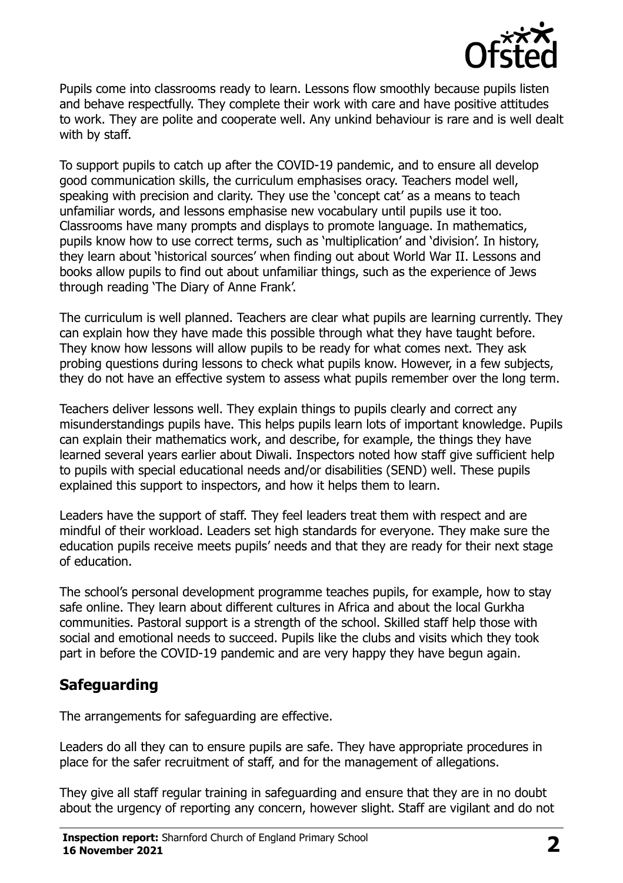

Pupils come into classrooms ready to learn. Lessons flow smoothly because pupils listen and behave respectfully. They complete their work with care and have positive attitudes to work. They are polite and cooperate well. Any unkind behaviour is rare and is well dealt with by staff.

To support pupils to catch up after the COVID-19 pandemic, and to ensure all develop good communication skills, the curriculum emphasises oracy. Teachers model well, speaking with precision and clarity. They use the 'concept cat' as a means to teach unfamiliar words, and lessons emphasise new vocabulary until pupils use it too. Classrooms have many prompts and displays to promote language. In mathematics, pupils know how to use correct terms, such as 'multiplication' and 'division'. In history, they learn about 'historical sources' when finding out about World War II. Lessons and books allow pupils to find out about unfamiliar things, such as the experience of Jews through reading 'The Diary of Anne Frank'.

The curriculum is well planned. Teachers are clear what pupils are learning currently. They can explain how they have made this possible through what they have taught before. They know how lessons will allow pupils to be ready for what comes next. They ask probing questions during lessons to check what pupils know. However, in a few subjects, they do not have an effective system to assess what pupils remember over the long term.

Teachers deliver lessons well. They explain things to pupils clearly and correct any misunderstandings pupils have. This helps pupils learn lots of important knowledge. Pupils can explain their mathematics work, and describe, for example, the things they have learned several years earlier about Diwali. Inspectors noted how staff give sufficient help to pupils with special educational needs and/or disabilities (SEND) well. These pupils explained this support to inspectors, and how it helps them to learn.

Leaders have the support of staff. They feel leaders treat them with respect and are mindful of their workload. Leaders set high standards for everyone. They make sure the education pupils receive meets pupils' needs and that they are ready for their next stage of education.

The school's personal development programme teaches pupils, for example, how to stay safe online. They learn about different cultures in Africa and about the local Gurkha communities. Pastoral support is a strength of the school. Skilled staff help those with social and emotional needs to succeed. Pupils like the clubs and visits which they took part in before the COVID-19 pandemic and are very happy they have begun again.

# **Safeguarding**

The arrangements for safeguarding are effective.

Leaders do all they can to ensure pupils are safe. They have appropriate procedures in place for the safer recruitment of staff, and for the management of allegations.

They give all staff regular training in safeguarding and ensure that they are in no doubt about the urgency of reporting any concern, however slight. Staff are vigilant and do not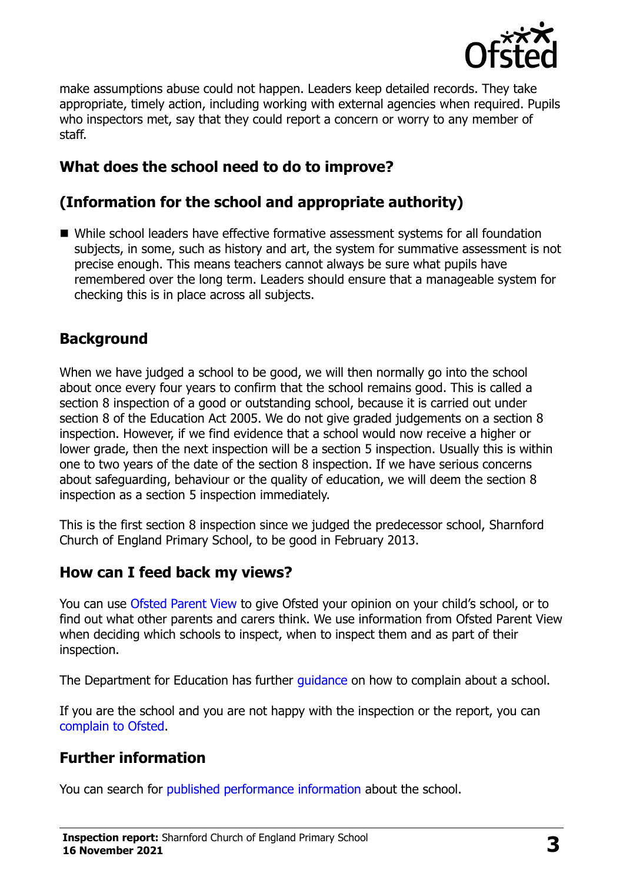

make assumptions abuse could not happen. Leaders keep detailed records. They take appropriate, timely action, including working with external agencies when required. Pupils who inspectors met, say that they could report a concern or worry to any member of staff.

# **What does the school need to do to improve?**

# **(Information for the school and appropriate authority)**

■ While school leaders have effective formative assessment systems for all foundation subjects, in some, such as history and art, the system for summative assessment is not precise enough. This means teachers cannot always be sure what pupils have remembered over the long term. Leaders should ensure that a manageable system for checking this is in place across all subjects.

### **Background**

When we have judged a school to be good, we will then normally go into the school about once every four years to confirm that the school remains good. This is called a section 8 inspection of a good or outstanding school, because it is carried out under section 8 of the Education Act 2005. We do not give graded judgements on a section 8 inspection. However, if we find evidence that a school would now receive a higher or lower grade, then the next inspection will be a section 5 inspection. Usually this is within one to two years of the date of the section 8 inspection. If we have serious concerns about safeguarding, behaviour or the quality of education, we will deem the section 8 inspection as a section 5 inspection immediately.

This is the first section 8 inspection since we judged the predecessor school, Sharnford Church of England Primary School, to be good in February 2013.

### **How can I feed back my views?**

You can use [Ofsted Parent View](https://parentview.ofsted.gov.uk/) to give Ofsted your opinion on your child's school, or to find out what other parents and carers think. We use information from Ofsted Parent View when deciding which schools to inspect, when to inspect them and as part of their inspection.

The Department for Education has further *guidance* on how to complain about a school.

If you are the school and you are not happy with the inspection or the report, you can [complain to Ofsted.](https://www.gov.uk/complain-ofsted-report)

# **Further information**

You can search for [published performance information](http://www.compare-school-performance.service.gov.uk/) about the school.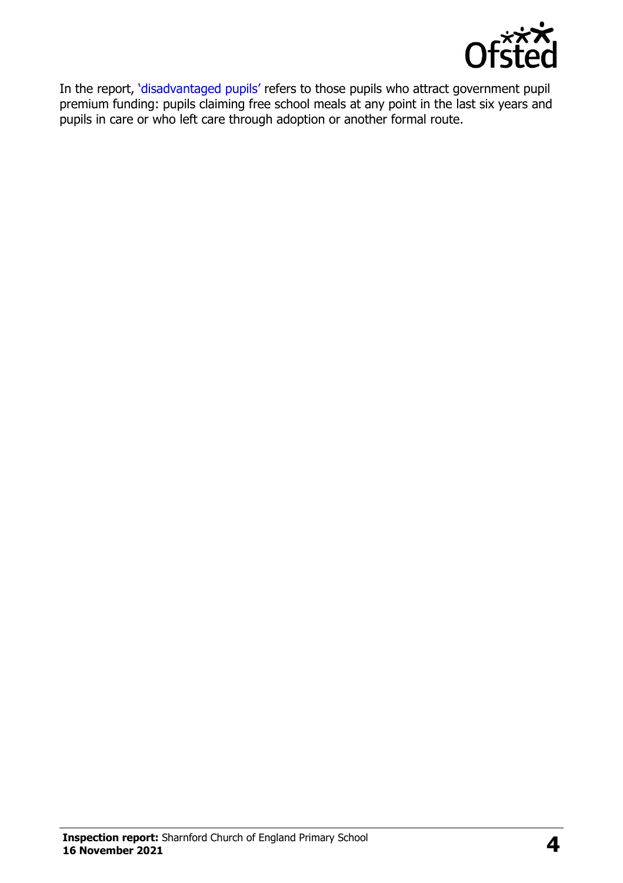

In the report, '[disadvantaged pupils](http://www.gov.uk/guidance/pupil-premium-information-for-schools-and-alternative-provision-settings)' refers to those pupils who attract government pupil premium funding: pupils claiming free school meals at any point in the last six years and pupils in care or who left care through adoption or another formal route.

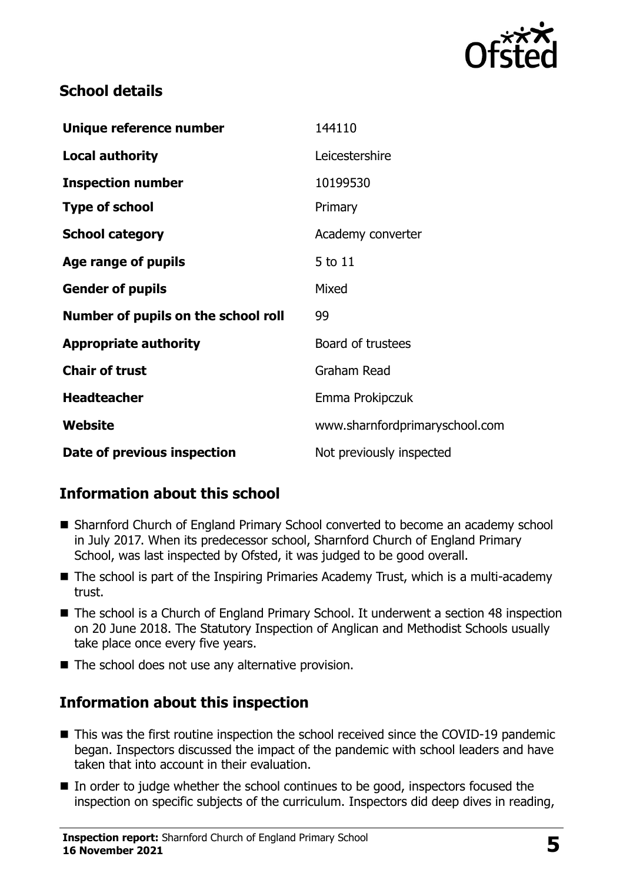

## **School details**

| Unique reference number             | 144110                         |
|-------------------------------------|--------------------------------|
| <b>Local authority</b>              | Leicestershire                 |
| <b>Inspection number</b>            | 10199530                       |
| <b>Type of school</b>               | Primary                        |
| <b>School category</b>              | Academy converter              |
| Age range of pupils                 | 5 to 11                        |
| <b>Gender of pupils</b>             | Mixed                          |
| Number of pupils on the school roll | 99                             |
| <b>Appropriate authority</b>        | Board of trustees              |
| <b>Chair of trust</b>               | Graham Read                    |
| <b>Headteacher</b>                  | Emma Prokipczuk                |
| Website                             | www.sharnfordprimaryschool.com |
| Date of previous inspection         | Not previously inspected       |

# **Information about this school**

- Sharnford Church of England Primary School converted to become an academy school in July 2017. When its predecessor school, Sharnford Church of England Primary School, was last inspected by Ofsted, it was judged to be good overall.
- The school is part of the Inspiring Primaries Academy Trust, which is a multi-academy trust.
- The school is a Church of England Primary School. It underwent a section 48 inspection on 20 June 2018. The Statutory Inspection of Anglican and Methodist Schools usually take place once every five years.
- $\blacksquare$  The school does not use any alternative provision.

# **Information about this inspection**

- This was the first routine inspection the school received since the COVID-19 pandemic began. Inspectors discussed the impact of the pandemic with school leaders and have taken that into account in their evaluation.
- In order to judge whether the school continues to be good, inspectors focused the inspection on specific subjects of the curriculum. Inspectors did deep dives in reading,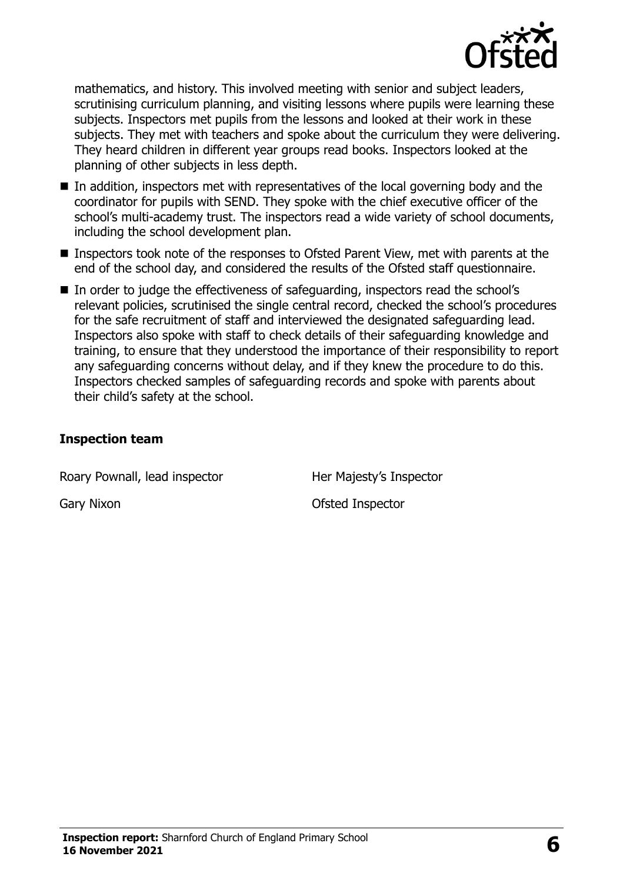

mathematics, and history. This involved meeting with senior and subject leaders, scrutinising curriculum planning, and visiting lessons where pupils were learning these subjects. Inspectors met pupils from the lessons and looked at their work in these subjects. They met with teachers and spoke about the curriculum they were delivering. They heard children in different year groups read books. Inspectors looked at the planning of other subjects in less depth.

- $\blacksquare$  In addition, inspectors met with representatives of the local governing body and the coordinator for pupils with SEND. They spoke with the chief executive officer of the school's multi-academy trust. The inspectors read a wide variety of school documents, including the school development plan.
- Inspectors took note of the responses to Ofsted Parent View, met with parents at the end of the school day, and considered the results of the Ofsted staff questionnaire.
- In order to judge the effectiveness of safeguarding, inspectors read the school's relevant policies, scrutinised the single central record, checked the school's procedures for the safe recruitment of staff and interviewed the designated safeguarding lead. Inspectors also spoke with staff to check details of their safeguarding knowledge and training, to ensure that they understood the importance of their responsibility to report any safeguarding concerns without delay, and if they knew the procedure to do this. Inspectors checked samples of safeguarding records and spoke with parents about their child's safety at the school.

#### **Inspection team**

Roary Pownall, lead inspector **Her Majesty's Inspector** 

Gary Nixon **Gary Nixon** Ofsted Inspector